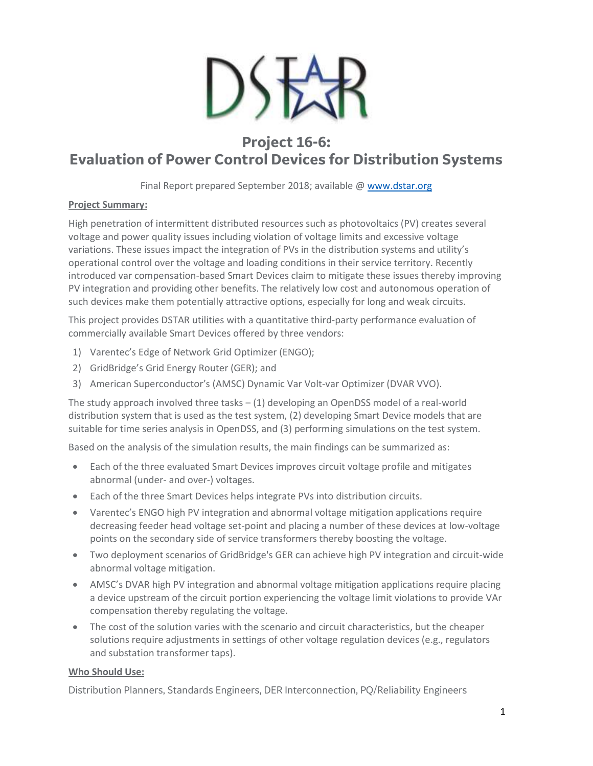

## **Project 16-6: Evaluation of Power Control Devices for Distribution Systems**

Final Report prepared September 2018; available [@ www.dstar.org](http://www.dstar.org/research/project/111/P16-6-evaluation-of-power-control-devices-for-distribution-systems)

## **Project Summary:**

High penetration of intermittent distributed resources such as photovoltaics (PV) creates several voltage and power quality issues including violation of voltage limits and excessive voltage variations. These issues impact the integration of PVs in the distribution systems and utility's operational control over the voltage and loading conditions in their service territory. Recently introduced var compensation-based Smart Devices claim to mitigate these issues thereby improving PV integration and providing other benefits. The relatively low cost and autonomous operation of such devices make them potentially attractive options, especially for long and weak circuits.

This project provides DSTAR utilities with a quantitative third-party performance evaluation of commercially available Smart Devices offered by three vendors:

- 1) Varentec's Edge of Network Grid Optimizer (ENGO);
- 2) GridBridge's Grid Energy Router (GER); and
- 3) American Superconductor's (AMSC) Dynamic Var Volt-var Optimizer (DVAR VVO).

The study approach involved three tasks  $-$  (1) developing an OpenDSS model of a real-world distribution system that is used as the test system, (2) developing Smart Device models that are suitable for time series analysis in OpenDSS, and (3) performing simulations on the test system.

Based on the analysis of the simulation results, the main findings can be summarized as:

- Each of the three evaluated Smart Devices improves circuit voltage profile and mitigates abnormal (under- and over-) voltages.
- Each of the three Smart Devices helps integrate PVs into distribution circuits.
- Varentec's ENGO high PV integration and abnormal voltage mitigation applications require decreasing feeder head voltage set-point and placing a number of these devices at low-voltage points on the secondary side of service transformers thereby boosting the voltage.
- Two deployment scenarios of GridBridge's GER can achieve high PV integration and circuit-wide abnormal voltage mitigation.
- AMSC's DVAR high PV integration and abnormal voltage mitigation applications require placing a device upstream of the circuit portion experiencing the voltage limit violations to provide VAr compensation thereby regulating the voltage.
- The cost of the solution varies with the scenario and circuit characteristics, but the cheaper solutions require adjustments in settings of other voltage regulation devices (e.g., regulators and substation transformer taps).

## **Who Should Use:**

Distribution Planners, Standards Engineers, DER Interconnection, PQ/Reliability Engineers